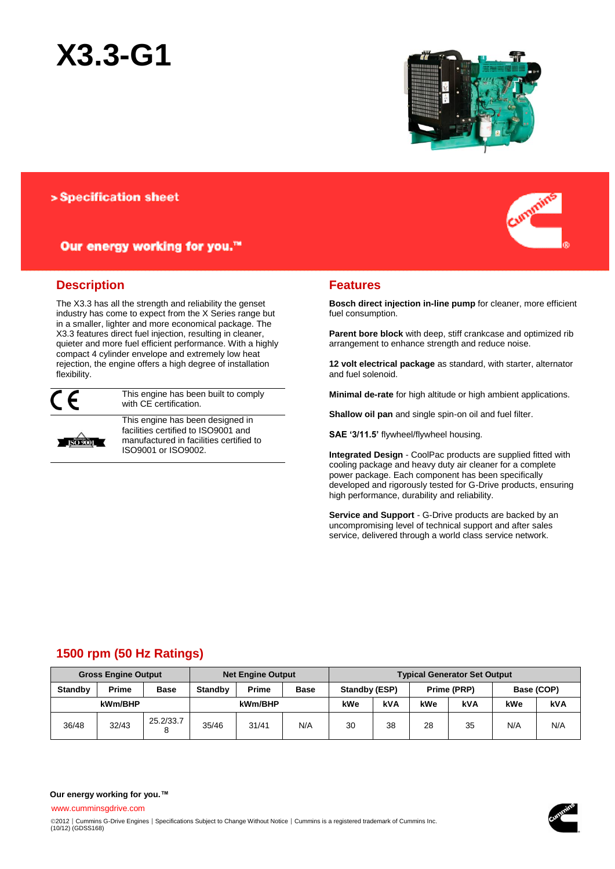



# > Specification sheet

# Our energy working for you.™

## **Description**

The X3.3 has all the strength and reliability the genset industry has come to expect from the X Series range but in a smaller, lighter and more economical package. The X3.3 features direct fuel injection, resulting in cleaner, quieter and more fuel efficient performance. With a highly compact 4 cylinder envelope and extremely low heat rejection, the engine offers a high degree of installation flexibility.



**ISO 9001** 

This engine has been built to comply with CE certification.

This engine has been designed in facilities certified to ISO9001 and manufactured in facilities certified to ISO9001 or ISO9002.



## **Features**

**Bosch direct injection in-line pump** for cleaner, more efficient fuel consumption.

**Parent bore block** with deep, stiff crankcase and optimized rib arrangement to enhance strength and reduce noise.

**12 volt electrical package** as standard, with starter, alternator and fuel solenoid.

**Minimal de-rate** for high altitude or high ambient applications.

**Shallow oil pan** and single spin-on oil and fuel filter.

**SAE '3/11.5'** flywheel/flywheel housing.

**Integrated Design** - CoolPac products are supplied fitted with cooling package and heavy duty air cleaner for a complete power package. Each component has been specifically developed and rigorously tested for G-Drive products, ensuring high performance, durability and reliability.

**Service and Support** - G-Drive products are backed by an uncompromising level of technical support and after sales service, delivered through a world class service network.

# **1500 rpm (50 Hz Ratings)**

| <b>Gross Engine Output</b> |       |             | <b>Net Engine Output</b> |              |             | <b>Typical Generator Set Output</b> |     |             |     |            |     |
|----------------------------|-------|-------------|--------------------------|--------------|-------------|-------------------------------------|-----|-------------|-----|------------|-----|
| <b>Standby</b>             | Prime | <b>Base</b> | <b>Standby</b>           | <b>Prime</b> | <b>Base</b> | Standby (ESP)                       |     | Prime (PRP) |     | Base (COP) |     |
| kWm/BHP                    |       |             | kWm/BHP                  |              |             | kWe                                 | kVA | kWe         | kVA | kWe        | kVA |
| 36/48                      | 32/43 | 25.2/33.7   | 35/46                    | 31/41        | N/A         | 30                                  | 38  | 28          | 35  | N/A        | N/A |

**Our energy working for you.™**

www.cumminsgdrive.com